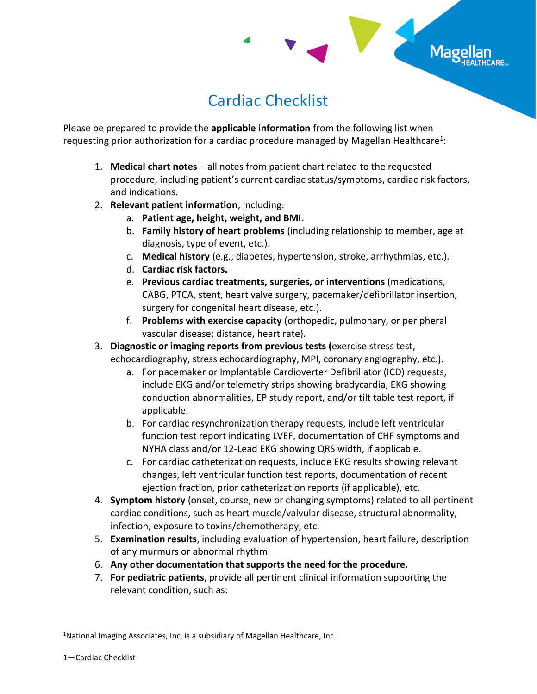

## Cardiac Checklist

Please be prepared to provide the **applicable information** from the following list when requesting prior authorization for a cardiac procedure managed by Magellan Healthcare<sup>1</sup>:

- 1. **Medical chart notes**  all notes from patient chart related to the requested procedure, including patient's current cardiac status/symptoms, cardiac risk factors, and indications.
- 2. **Relevant patient information**, including:
	- a. **Patient age, height, weight, and BMI.**
	- b. **Family history of heart problems** (including relationship to member, age at diagnosis, type of event, etc.).
	- c. **Medical history** (e.g., diabetes, hypertension, stroke, arrhythmias, etc.).
	- d. **Cardiac risk factors.**
	- e. **Previous cardiac treatments, surgeries, or interventions** (medications, CABG, PTCA, stent, heart valve surgery, pacemaker/defibrillator insertion, surgery for congenital heart disease, etc.).
	- f. **Problems with exercise capacity** (orthopedic, pulmonary, or peripheral vascular disease; distance, heart rate).
- 3. **Diagnostic or imaging reports from previous tests (**exercise stress test, echocardiography, stress echocardiography, MPI, coronary angiography, etc.).
	- a. For pacemaker or Implantable Cardioverter Defibrillator (ICD) requests, include EKG and/or telemetry strips showing bradycardia, EKG showing conduction abnormalities, EP study report, and/or tilt table test report, if applicable.
	- b. For cardiac resynchronization therapy requests, include left ventricular function test report indicating LVEF, documentation of CHF symptoms and NYHA class and/or 12-Lead EKG showing QRS width, if applicable.
	- c. For cardiac catheterization requests, include EKG results showing relevant changes, left ventricular function test reports, documentation of recent ejection fraction, prior catheterization reports (if applicable), etc.
- 4. **Symptom history** (onset, course, new or changing symptoms) related to all pertinent cardiac conditions, such as heart muscle/valvular disease, structural abnormality, infection, exposure to toxins/chemotherapy, etc.
- 5. **Examination results**, including evaluation of hypertension, heart failure, description of any murmurs or abnormal rhythm
- 6. **Any other documentation that supports the need for the procedure.**
- 7. **For pediatric patients**, provide all pertinent clinical information supporting the relevant condition, such as:

\_\_\_\_\_\_\_\_\_\_\_\_\_\_\_\_\_\_\_\_\_\_\_\_\_\_\_\_\_\_\_\_\_\_\_\_\_

<sup>&</sup>lt;sup>1</sup>National Imaging Associates, Inc. is a subsidiary of Magellan Healthcare, Inc.